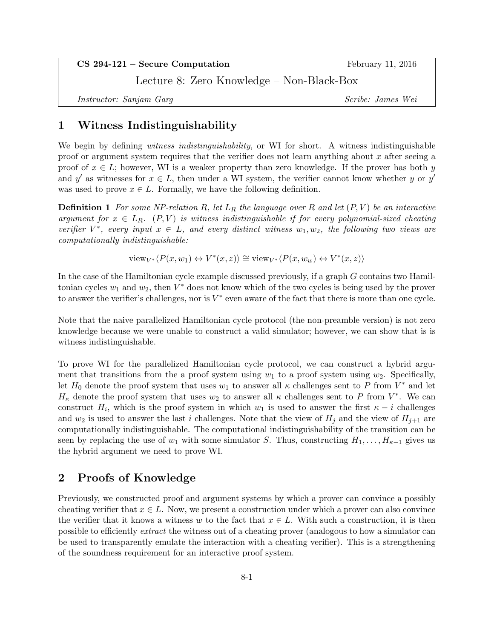CS 294-121 – Secure Computation February 11, 2016

Lecture 8: Zero Knowledge – Non-Black-Box

Instructor: Sanjam Garg Scribe: James Wei

# 1 Witness Indistinguishability

We begin by defining *witness indistinguishability*, or WI for short. A witness indistinguishable proof or argument system requires that the verifier does not learn anything about x after seeing a proof of  $x \in L$ ; however, WI is a weaker property than zero knowledge. If the prover has both y and y' as witnesses for  $x \in L$ , then under a WI system, the verifier cannot know whether y or y' was used to prove  $x \in L$ . Formally, we have the following definition.

**Definition 1** For some NP-relation R, let  $L_R$  the language over R and let  $(P, V)$  be an interactive argument for  $x \in L_R$ . (P,V) is witness indistinguishable if for every polynomial-sized cheating verifier  $V^*$ , every input  $x \in L$ , and every distinct witness  $w_1, w_2$ , the following two views are computationally indistinguishable:

 $\text{view}_{V^*} \langle P(x, w_1) \leftrightarrow V^*(x, z) \rangle \cong \text{view}_{V^*} \langle P(x, w_w) \leftrightarrow V^*(x, z) \rangle$ 

In the case of the Hamiltonian cycle example discussed previously, if a graph G contains two Hamiltonian cycles  $w_1$  and  $w_2$ , then  $V^*$  does not know which of the two cycles is being used by the prover to answer the verifier's challenges, nor is  $V^*$  even aware of the fact that there is more than one cycle.

Note that the naive parallelized Hamiltonian cycle protocol (the non-preamble version) is not zero knowledge because we were unable to construct a valid simulator; however, we can show that is is witness indistinguishable.

To prove WI for the parallelized Hamiltonian cycle protocol, we can construct a hybrid argument that transitions from the a proof system using  $w_1$  to a proof system using  $w_2$ . Specifically, let  $H_0$  denote the proof system that uses  $w_1$  to answer all  $\kappa$  challenges sent to P from  $V^*$  and let  $H_{\kappa}$  denote the proof system that uses  $w_2$  to answer all  $\kappa$  challenges sent to P from  $V^*$ . We can construct  $H_i$ , which is the proof system in which  $w_1$  is used to answer the first  $\kappa - i$  challenges and  $w_2$  is used to answer the last i challenges. Note that the view of  $H_i$  and the view of  $H_{i+1}$  are computationally indistinguishable. The computational indistinguishability of the transition can be seen by replacing the use of  $w_1$  with some simulator S. Thus, constructing  $H_1, \ldots, H_{\kappa-1}$  gives us the hybrid argument we need to prove WI.

## 2 Proofs of Knowledge

Previously, we constructed proof and argument systems by which a prover can convince a possibly cheating verifier that  $x \in L$ . Now, we present a construction under which a prover can also convince the verifier that it knows a witness w to the fact that  $x \in L$ . With such a construction, it is then possible to efficiently extract the witness out of a cheating prover (analogous to how a simulator can be used to transparently emulate the interaction with a cheating verifier). This is a strengthening of the soundness requirement for an interactive proof system.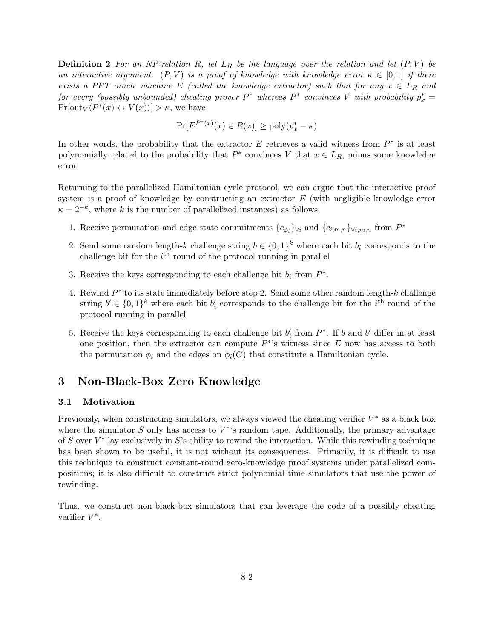**Definition 2** For an NP-relation R, let  $L_R$  be the language over the relation and let  $(P, V)$  be an interactive argument.  $(P, V)$  is a proof of knowledge with knowledge error  $\kappa \in [0, 1]$  if there exists a PPT oracle machine E (called the knowledge extractor) such that for any  $x \in L_R$  and for every (possibly unbounded) cheating prover  $P^*$  whereas  $P^*$  convinces V with probability  $p_x^* =$  $Pr[\text{out}_V\langle P^*(x) \leftrightarrow V(x)\rangle] > \kappa$ , we have

$$
\Pr[E^{P^*(x)}(x) \in R(x)] \ge \text{poly}(p_x^* - \kappa)
$$

In other words, the probability that the extractor  $E$  retrieves a valid witness from  $P^*$  is at least polynomially related to the probability that  $P^*$  convinces V that  $x \in L_R$ , minus some knowledge error.

Returning to the parallelized Hamiltonian cycle protocol, we can argue that the interactive proof system is a proof of knowledge by constructing an extractor  $E$  (with negligible knowledge error  $\kappa = 2^{-k}$ , where k is the number of parallelized instances) as follows:

- 1. Receive permutation and edge state commitments  ${c_{\phi_i}}_{\forall i}$  and  ${c_{i,m,n}}_{\forall i,m,n}$  from  $P^*$
- 2. Send some random length-k challenge string  $b \in \{0,1\}^k$  where each bit  $b_i$  corresponds to the challenge bit for the  $i<sup>th</sup>$  round of the protocol running in parallel
- 3. Receive the keys corresponding to each challenge bit  $b_i$  from  $P^*$ .
- 4. Rewind  $P^*$  to its state immediately before step 2. Send some other random length-k challenge string  $b' \in \{0,1\}^k$  where each bit  $b'_i$  corresponds to the challenge bit for the  $i<sup>th</sup>$  round of the protocol running in parallel
- 5. Receive the keys corresponding to each challenge bit  $b_i'$  from  $P^*$ . If b and b' differ in at least one position, then the extractor can compute  $P^*$ 's witness since E now has access to both the permutation  $\phi_i$  and the edges on  $\phi_i(G)$  that constitute a Hamiltonian cycle.

## 3 Non-Black-Box Zero Knowledge

### 3.1 Motivation

Previously, when constructing simulators, we always viewed the cheating verifier  $V^*$  as a black box where the simulator  $S$  only has access to  $V^*$ 's random tape. Additionally, the primary advantage of S over  $V^*$  lay exclusively in S's ability to rewind the interaction. While this rewinding technique has been shown to be useful, it is not without its consequences. Primarily, it is difficult to use this technique to construct constant-round zero-knowledge proof systems under parallelized compositions; it is also difficult to construct strict polynomial time simulators that use the power of rewinding.

Thus, we construct non-black-box simulators that can leverage the code of a possibly cheating verifier  $V^*$ .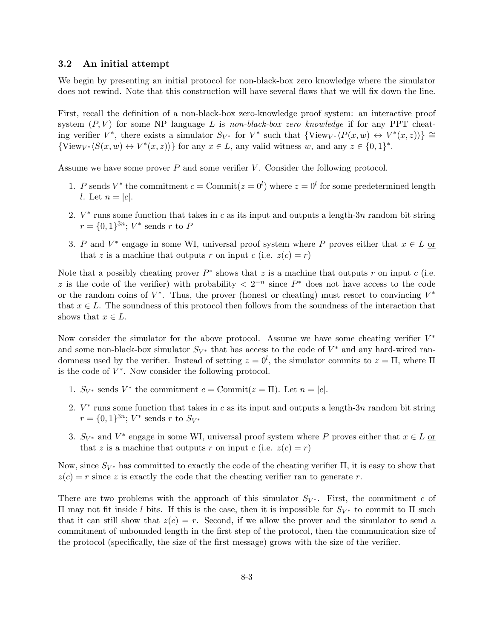#### 3.2 An initial attempt

We begin by presenting an initial protocol for non-black-box zero knowledge where the simulator does not rewind. Note that this construction will have several flaws that we will fix down the line.

First, recall the definition of a non-black-box zero-knowledge proof system: an interactive proof system  $(P, V)$  for some NP language L is non-black-box zero knowledge if for any PPT cheating verifier  $V^*$ , there exists a simulator  $S_{V^*}$  for  $V^*$  such that  $\{View_{V^*}\langle P(x,w) \leftrightarrow V^*(x,z)\rangle\} \cong$  $\{View_{V^*}\langle S(x,w) \leftrightarrow V^*(x,z)\rangle\}$  for any  $x \in L$ , any valid witness w, and any  $z \in \{0,1\}^*$ .

Assume we have some prover  $P$  and some verifier  $V$ . Consider the following protocol.

- 1. P sends  $V^*$  the commitment  $c = \text{Commit}(z = 0^l)$  where  $z = 0^l$  for some predetermined length l. Let  $n = |c|$ .
- 2.  $V^*$  runs some function that takes in c as its input and outputs a length-3n random bit string  $r = \{0, 1\}^{3n}$ ;  $V^*$  sends r to P
- 3. P and  $V^*$  engage in some WI, universal proof system where P proves either that  $x \in L$  or that z is a machine that outputs r on input c (i.e.  $z(c) = r$ )

Note that a possibly cheating prover  $P^*$  shows that z is a machine that outputs r on input c (i.e. z is the code of the verifier) with probability  $\langle 2^{-n}$  since  $P^*$  does not have access to the code or the random coins of  $V^*$ . Thus, the prover (honest or cheating) must resort to convincing  $V^*$ that  $x \in L$ . The soundness of this protocol then follows from the soundness of the interaction that shows that  $x \in L$ .

Now consider the simulator for the above protocol. Assume we have some cheating verifier  $V^*$ and some non-black-box simulator  $S_{V^*}$  that has access to the code of  $V^*$  and any hard-wired randomness used by the verifier. Instead of setting  $z = 0<sup>l</sup>$ , the simulator commits to  $z = \Pi$ , where  $\Pi$ is the code of  $V^*$ . Now consider the following protocol.

- 1.  $S_{V^*}$  sends  $V^*$  the commitment  $c = \text{Commit}(z = \Pi)$ . Let  $n = |c|$ .
- 2.  $V^*$  runs some function that takes in c as its input and outputs a length-3n random bit string  $r = \{0, 1\}^{3n}$ ;  $V^*$  sends r to  $S_{V^*}$
- 3.  $S_{V^*}$  and  $V^*$  engage in some WI, universal proof system where P proves either that  $x \in L$  or that z is a machine that outputs r on input c (i.e.  $z(c) = r$ )

Now, since  $S_{V^*}$  has committed to exactly the code of the cheating verifier  $\Pi$ , it is easy to show that  $z(c) = r$  since z is exactly the code that the cheating verifier ran to generate r.

There are two problems with the approach of this simulator  $S_{V^*}$ . First, the commitment c of Π may not fit inside l bits. If this is the case, then it is impossible for S<sup>V</sup> <sup>∗</sup> to commit to Π such that it can still show that  $z(c) = r$ . Second, if we allow the prover and the simulator to send a commitment of unbounded length in the first step of the protocol, then the communication size of the protocol (specifically, the size of the first message) grows with the size of the verifier.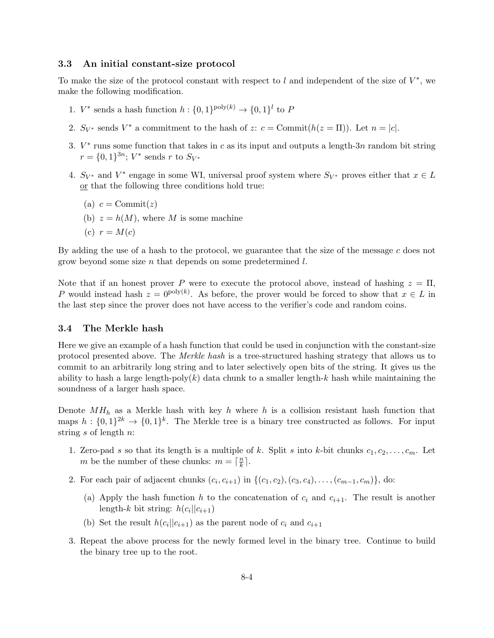### 3.3 An initial constant-size protocol

To make the size of the protocol constant with respect to  $l$  and independent of the size of  $V^*$ , we make the following modification.

- 1.  $V^*$  sends a hash function  $h: \{0,1\}^{\text{poly}(k)} \to \{0,1\}^l$  to P
- 2.  $S_{V^*}$  sends  $V^*$  a commitment to the hash of z:  $c = \text{Commit}(h(z = \Pi))$ . Let  $n = |c|$ .
- 3.  $V^*$  runs some function that takes in c as its input and outputs a length-3n random bit string  $r = \{0, 1\}^{3n}$ ;  $V^*$  sends r to  $S_{V^*}$
- 4.  $S_{V^*}$  and  $V^*$  engage in some WI, universal proof system where  $S_{V^*}$  proves either that  $x \in L$ or that the following three conditions hold true:
	- (a)  $c = \text{Commit}(z)$
	- (b)  $z = h(M)$ , where M is some machine
	- (c)  $r = M(c)$

By adding the use of a hash to the protocol, we guarantee that the size of the message c does not grow beyond some size n that depends on some predetermined l.

Note that if an honest prover P were to execute the protocol above, instead of hashing  $z = \Pi$ , P would instead hash  $z = 0^{\text{poly}(k)}$ . As before, the prover would be forced to show that  $x \in L$  in the last step since the prover does not have access to the verifier's code and random coins.

#### 3.4 The Merkle hash

Here we give an example of a hash function that could be used in conjunction with the constant-size protocol presented above. The Merkle hash is a tree-structured hashing strategy that allows us to commit to an arbitrarily long string and to later selectively open bits of the string. It gives us the ability to hash a large length-poly $(k)$  data chunk to a smaller length-k hash while maintaining the soundness of a larger hash space.

Denote  $MH_h$  as a Merkle hash with key h where h is a collision resistant hash function that maps  $h: \{0,1\}^{2k} \to \{0,1\}^k$ . The Merkle tree is a binary tree constructed as follows. For input string s of length n:

- 1. Zero-pad s so that its length is a multiple of k. Split s into k-bit chunks  $c_1, c_2, \ldots, c_m$ . Let m be the number of these chunks:  $m = \lceil \frac{n}{k} \rceil$  $\frac{n}{k}$ ].
- 2. For each pair of adjacent chunks  $(c_i, c_{i+1})$  in  $\{(c_1, c_2), (c_3, c_4), \ldots, (c_{m-1}, c_m)\}\$ , do:
	- (a) Apply the hash function h to the concatenation of  $c_i$  and  $c_{i+1}$ . The result is another length- $k$  bit string:  $h(c_i||c_{i+1})$
	- (b) Set the result  $h(c_i||c_{i+1})$  as the parent node of  $c_i$  and  $c_{i+1}$
- 3. Repeat the above process for the newly formed level in the binary tree. Continue to build the binary tree up to the root.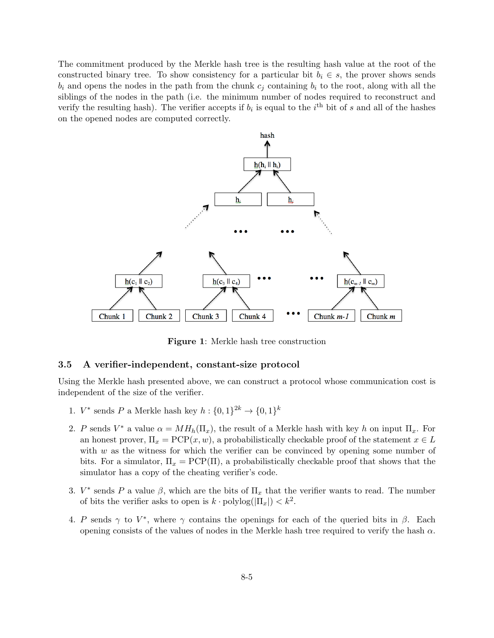The commitment produced by the Merkle hash tree is the resulting hash value at the root of the constructed binary tree. To show consistency for a particular bit  $b_i \in s$ , the prover shows sends  $b_i$  and opens the nodes in the path from the chunk  $c_j$  containing  $b_i$  to the root, along with all the siblings of the nodes in the path (i.e. the minimum number of nodes required to reconstruct and verify the resulting hash). The verifier accepts if  $b_i$  is equal to the i<sup>th</sup> bit of s and all of the hashes on the opened nodes are computed correctly.



Figure 1: Merkle hash tree construction

### 3.5 A verifier-independent, constant-size protocol

Using the Merkle hash presented above, we can construct a protocol whose communication cost is independent of the size of the verifier.

- 1.  $V^*$  sends P a Merkle hash key  $h: \{0,1\}^{2k} \to \{0,1\}^k$
- 2. P sends  $V^*$  a value  $\alpha = MH_h(\Pi_x)$ , the result of a Merkle hash with key h on input  $\Pi_x$ . For an honest prover,  $\Pi_x = \text{PCP}(x, w)$ , a probabilistically checkable proof of the statement  $x \in L$ with  $w$  as the witness for which the verifier can be convinced by opening some number of bits. For a simulator,  $\Pi_x = PCP(\Pi)$ , a probabilistically checkable proof that shows that the simulator has a copy of the cheating verifier's code.
- 3.  $V^*$  sends P a value  $\beta$ , which are the bits of  $\Pi_x$  that the verifier wants to read. The number of bits the verifier asks to open is  $k \cdot \text{polylog}(|\Pi_x|) < k^2$ .
- 4. P sends  $\gamma$  to  $V^*$ , where  $\gamma$  contains the openings for each of the queried bits in  $\beta$ . Each opening consists of the values of nodes in the Merkle hash tree required to verify the hash  $\alpha$ .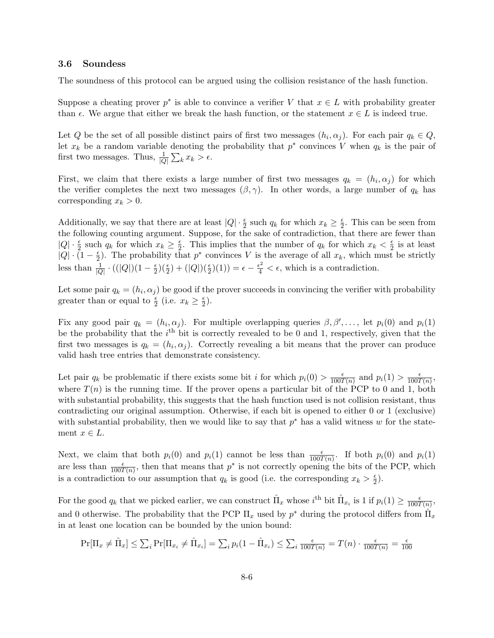#### 3.6 Soundess

The soundness of this protocol can be argued using the collision resistance of the hash function.

Suppose a cheating prover  $p^*$  is able to convince a verifier V that  $x \in L$  with probability greater than  $\epsilon$ . We argue that either we break the hash function, or the statement  $x \in L$  is indeed true.

Let Q be the set of all possible distinct pairs of first two messages  $(h_i, \alpha_j)$ . For each pair  $q_k \in Q$ , let  $x_k$  be a random variable denoting the probability that  $p^*$  convinces V when  $q_k$  is the pair of first two messages. Thus,  $\frac{1}{|Q|} \sum_{k} x_k > \epsilon$ .

First, we claim that there exists a large number of first two messages  $q_k = (h_i, \alpha_j)$  for which the verifier completes the next two messages  $(\beta, \gamma)$ . In other words, a large number of  $q_k$  has corresponding  $x_k > 0$ .

Additionally, we say that there are at least  $|Q| \cdot \frac{\epsilon}{2}$  such  $q_k$  for which  $x_k \geq \frac{\epsilon}{2}$  $\frac{\epsilon}{2}$ . This can be seen from the following counting argument. Suppose, for the sake of contradiction, that there are fewer than  $|Q| \cdot \frac{\epsilon}{2}$  such  $q_k$  for which  $x_k \geq \frac{\epsilon}{2}$  $\frac{\epsilon}{2}$ . This implies that the number of  $q_k$  for which  $x_k < \frac{\epsilon}{2}$  $\frac{\epsilon}{2}$  is at least  $|Q| \cdot (1 - \frac{\epsilon}{2})$  $\frac{\epsilon}{2}$ ). The probability that  $p^*$  convinces V is the average of all  $x_k$ , which must be strictly less than  $\frac{1}{|Q|} \cdot ((|Q|)(1 - \frac{\epsilon}{2}))$  $\frac{\epsilon}{2}$ )( $\frac{\epsilon}{2}$ ) + (|Q|)( $\frac{\epsilon}{2}$ )(1)) =  $\epsilon - \frac{\epsilon^2}{4} < \epsilon$ , which is a contradiction.

Let some pair  $q_k = (h_i, \alpha_j)$  be good if the prover succeeds in convincing the verifier with probability greater than or equal to  $\frac{\epsilon}{2}$  (i.e.  $x_k \geq \frac{\epsilon}{2}$  $\frac{\epsilon}{2}).$ 

Fix any good pair  $q_k = (h_i, \alpha_j)$ . For multiple overlapping queries  $\beta, \beta', \ldots$ , let  $p_i(0)$  and  $p_i(1)$ be the probability that the  $i<sup>th</sup>$  bit is correctly revealed to be 0 and 1, respectively, given that the first two messages is  $q_k = (h_i, \alpha_j)$ . Correctly revealing a bit means that the prover can produce valid hash tree entries that demonstrate consistency.

Let pair  $q_k$  be problematic if there exists some bit i for which  $p_i(0) > \frac{\epsilon}{1007}$  $\frac{\epsilon}{100T(n)}$  and  $p_i(1) > \frac{\epsilon}{100T}$  $\frac{\epsilon}{100T(n)},$ where  $T(n)$  is the running time. If the prover opens a particular bit of the PCP to 0 and 1, both with substantial probability, this suggests that the hash function used is not collision resistant, thus contradicting our original assumption. Otherwise, if each bit is opened to either 0 or 1 (exclusive) with substantial probability, then we would like to say that  $p^*$  has a valid witness w for the statement  $x \in L$ .

Next, we claim that both  $p_i(0)$  and  $p_i(1)$  cannot be less than  $\frac{\epsilon}{100T(n)}$ . If both  $p_i(0)$  and  $p_i(1)$ are less than  $\frac{\epsilon}{100T(n)}$ , then that means that  $p^*$  is not correctly opening the bits of the PCP, which is a contradiction to our assumption that  $q_k$  is good (i.e. the corresponding  $x_k > \frac{\epsilon}{2}$  $\frac{\epsilon}{2}).$ 

For the good  $q_k$  that we picked earlier, we can construct  $\hat{\Pi}_x$  whose  $i^{\text{th}}$  bit  $\hat{\Pi}_{x_i}$  is 1 if  $p_i(1) \geq \frac{\epsilon}{100T}$  $\frac{\epsilon}{100T(n)},$ and 0 otherwise. The probability that the PCP  $\Pi_x$  used by  $p^*$  during the protocol differs from  $\hat{\Pi}_x$ in at least one location can be bounded by the union bound:

$$
\Pr[\Pi_x \neq \hat{\Pi}_x] \leq \sum_i \Pr[\Pi_{x_i} \neq \hat{\Pi}_{x_i}] = \sum_i p_i (1 - \hat{\Pi}_{x_i}) \leq \sum_i \frac{\epsilon}{100T(n)} = T(n) \cdot \frac{\epsilon}{100T(n)} = \frac{\epsilon}{100}
$$